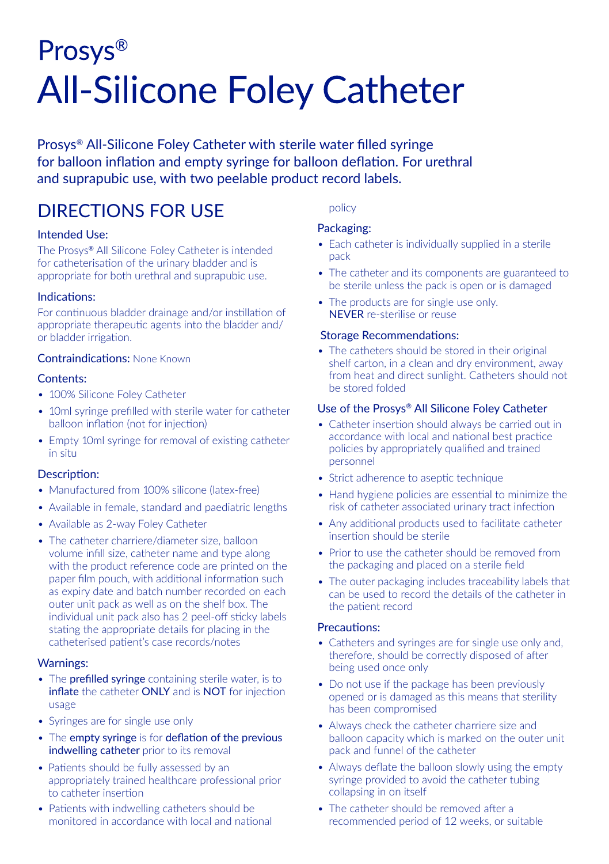# Prosys® **All-Silicone Foley Catheter**

Prosys® All-Silicone Foley Catheter with sterile water filled syringe for balloon inflation and empty syringe for balloon deflation. For urethral and suprapubic use, with two peelable product record labels.

# DIRECTIONS FOR USE

# Intended Use:

The Prosys® All Silicone Foley Catheter is intended for catheterisation of the urinary bladder and is appropriate for both urethral and suprapubic use.

#### Indications:

For continuous bladder drainage and/or instillation of appropriate therapeutic agents into the bladder and/ or bladder irrigation.

# Contraindications: None Known

# Contents:

- 100% Silicone Foley Catheter
- 10ml syringe prefilled with sterile water for catheter balloon inflation (not for injection)
- Empty 10ml syringe for removal of existing catheter in situ

#### Description:

- Manufactured from 100% silicone (latex-free)
- Available in female, standard and paediatric lengths
- Available as 2-way Foley Catheter
- The catheter charriere/diameter size, balloon volume infill size, catheter name and type along with the product reference code are printed on the paper film pouch, with additional information such as expiry date and batch number recorded on each outer unit pack as well as on the shelf box. The individual unit pack also has 2 peel-off sticky labels stating the appropriate details for placing in the catheterised patient's case records/notes

#### Warnings:

- The prefilled svringe containing sterile water, is to inflate the catheter ONLY and is NOT for injection usage
- Syringes are for single use only
- The empty syringe is for deflation of the previous indwelling catheter prior to its removal
- Patients should be fully assessed by an appropriately trained healthcare professional prior to catheter insertion
- Patients with indwelling catheters should be monitored in accordance with local and national

#### policy

# Packaging:

- Each catheter is individually supplied in a sterile pack
- The catheter and its components are guaranteed to be sterile unless the pack is open or is damaged
- The products are for single use only. NEVER re-sterilise or reuse

#### Storage Recommendations:

• The catheters should be stored in their original shelf carton, in a clean and dry environment, away from heat and direct sunlight. Catheters should not be stored folded

#### Use of the Prosys® All Silicone Foley Catheter

- Catheter insertion should always be carried out in accordance with local and national best practice policies by appropriately qualified and trained personnel
- Strict adherence to aseptic technique
- Hand hygiene policies are essential to minimize the risk of catheter associated urinary tract infection
- Any additional products used to facilitate catheter insertion should be sterile
- Prior to use the catheter should be removed from the packaging and placed on a sterile field
- The outer packaging includes traceability labels that can be used to record the details of the catheter in the patient record

#### Precautions:

- Catheters and syringes are for single use only and, therefore, should be correctly disposed of after being used once only
- Do not use if the package has been previously opened or is damaged as this means that sterility has been compromised
- Always check the catheter charriere size and balloon capacity which is marked on the outer unit pack and funnel of the catheter
- Always deflate the balloon slowly using the empty syringe provided to avoid the catheter tubing collapsing in on itself
- The catheter should be removed after a recommended period of 12 weeks, or suitable